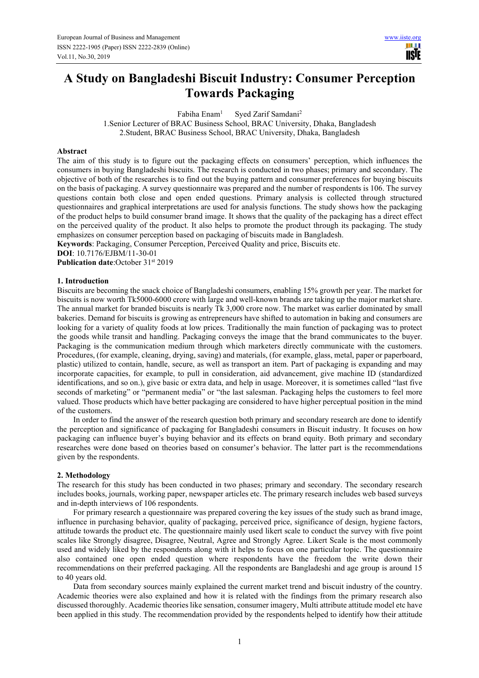# **A Study on Bangladeshi Biscuit Industry: Consumer Perception Towards Packaging**

Fabiha Enam<sup>1</sup> Syed Zarif Samdani<sup>2</sup> 1.Senior Lecturer of BRAC Business School, BRAC University, Dhaka, Bangladesh 2.Student, BRAC Business School, BRAC University, Dhaka, Bangladesh

## **Abstract**

The aim of this study is to figure out the packaging effects on consumers' perception, which influences the consumers in buying Bangladeshi biscuits. The research is conducted in two phases; primary and secondary. The objective of both of the researches is to find out the buying pattern and consumer preferences for buying biscuits on the basis of packaging. A survey questionnaire was prepared and the number of respondents is 106. The survey questions contain both close and open ended questions. Primary analysis is collected through structured questionnaires and graphical interpretations are used for analysis functions. The study shows how the packaging of the product helps to build consumer brand image. It shows that the quality of the packaging has a direct effect on the perceived quality of the product. It also helps to promote the product through its packaging. The study emphasizes on consumer perception based on packaging of biscuits made in Bangladesh.

**Keywords**: Packaging, Consumer Perception, Perceived Quality and price, Biscuits etc. **DOI**: 10.7176/EJBM/11-30-01

**Publication date:**October 31<sup>st</sup> 2019

### **1. Introduction**

Biscuits are becoming the snack choice of Bangladeshi consumers, enabling 15% growth per year. The market for biscuits is now worth Tk5000-6000 crore with large and well-known brands are taking up the major market share. The annual market for branded biscuits is nearly Tk 3,000 crore now. The market was earlier dominated by small bakeries. Demand for biscuits is growing as entrepreneurs have shifted to automation in baking and consumers are looking for a variety of quality foods at low prices. Traditionally the main function of packaging was to protect the goods while transit and handling. Packaging conveys the image that the brand communicates to the buyer. Packaging is the communication medium through which marketers directly communicate with the customers. Procedures, (for example, cleaning, drying, saving) and materials, (for example, glass, metal, paper or paperboard, plastic) utilized to contain, handle, secure, as well as transport an item. Part of packaging is expanding and may incorporate capacities, for example, to pull in consideration, aid advancement, give machine ID (standardized identifications, and so on.), give basic or extra data, and help in usage. Moreover, it is sometimes called "last five seconds of marketing" or "permanent media" or "the last salesman. Packaging helps the customers to feel more valued. Those products which have better packaging are considered to have higher perceptual position in the mind of the customers.

In order to find the answer of the research question both primary and secondary research are done to identify the perception and significance of packaging for Bangladeshi consumers in Biscuit industry. It focuses on how packaging can influence buyer's buying behavior and its effects on brand equity. Both primary and secondary researches were done based on theories based on consumer's behavior. The latter part is the recommendations given by the respondents.

#### **2. Methodology**

The research for this study has been conducted in two phases; primary and secondary. The secondary research includes books, journals, working paper, newspaper articles etc. The primary research includes web based surveys and in-depth interviews of 106 respondents.

For primary research a questionnaire was prepared covering the key issues of the study such as brand image, influence in purchasing behavior, quality of packaging, perceived price, significance of design, hygiene factors, attitude towards the product etc. The questionnaire mainly used likert scale to conduct the survey with five point scales like Strongly disagree, Disagree, Neutral, Agree and Strongly Agree. Likert Scale is the most commonly used and widely liked by the respondents along with it helps to focus on one particular topic. The questionnaire also contained one open ended question where respondents have the freedom the write down their recommendations on their preferred packaging. All the respondents are Bangladeshi and age group is around 15 to 40 years old.

Data from secondary sources mainly explained the current market trend and biscuit industry of the country. Academic theories were also explained and how it is related with the findings from the primary research also discussed thoroughly. Academic theories like sensation, consumer imagery, Multi attribute attitude model etc have been applied in this study. The recommendation provided by the respondents helped to identify how their attitude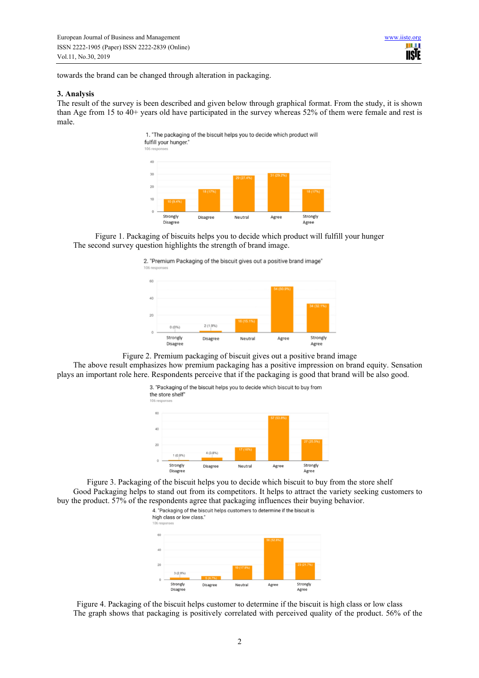towards the brand can be changed through alteration in packaging.

#### **3. Analysis**

The result of the survey is been described and given below through graphical format. From the study, it is shown than Age from 15 to 40+ years old have participated in the survey whereas 52% of them were female and rest is male.

> 1. "The packaging of the biscuit helps you to decide which product will fulfill your hunger.



Figure 1. Packaging of biscuits helps you to decide which product will fulfill your hunger The second survey question highlights the strength of brand image.

2. "Premium Packaging of the biscuit gives out a positive brand image"



Figure 2. Premium packaging of biscuit gives out a positive brand image The above result emphasizes how premium packaging has a positive impression on brand equity. Sensation plays an important role here. Respondents perceive that if the packaging is good that brand will be also good.



Figure 3. Packaging of the biscuit helps you to decide which biscuit to buy from the store shelf Good Packaging helps to stand out from its competitors. It helps to attract the variety seeking customers to buy the product. 57% of the respondents agree that packaging influences their buying behavior.<br>4. "Packaging of the biscuit helps customers to determine if the biscuit is



Figure 4. Packaging of the biscuit helps customer to determine if the biscuit is high class or low class The graph shows that packaging is positively correlated with perceived quality of the product. 56% of the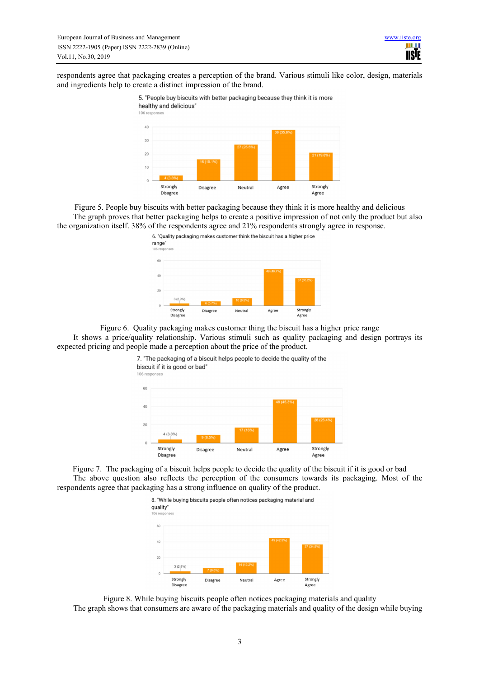respondents agree that packaging creates a perception of the brand. Various stimuli like color, design, materials and ingredients help to create a distinct impression of the brand.



Figure 5. People buy biscuits with better packaging because they think it is more healthy and delicious The graph proves that better packaging helps to create a positive impression of not only the product but also the organization itself. 38% of the respondents agree and 21% respondents strongly agree in response.



Figure 6. Quality packaging makes customer thing the biscuit has a higher price range It shows a price/quality relationship. Various stimuli such as quality packaging and design portrays its expected pricing and people made a perception about the price of the product.



106 response

Figure 7. The packaging of a biscuit helps people to decide the quality of the biscuit if it is good or bad The above question also reflects the perception of the consumers towards its packaging. Most of the respondents agree that packaging has a strong influence on quality of the product.



Figure 8. While buying biscuits people often notices packaging materials and quality The graph shows that consumers are aware of the packaging materials and quality of the design while buying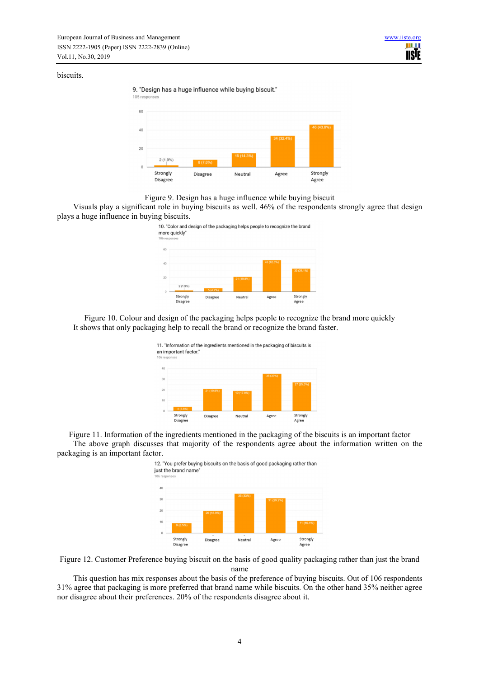### biscuits.







Visuals play a significant role in buying biscuits as well. 46% of the respondents strongly agree that design plays a huge influence in buying biscuits.



Figure 10. Colour and design of the packaging helps people to recognize the brand more quickly It shows that only packaging help to recall the brand or recognize the brand faster.



Figure 11. Information of the ingredients mentioned in the packaging of the biscuits is an important factor The above graph discusses that majority of the respondents agree about the information written on the packaging is an important factor.



Figure 12. Customer Preference buying biscuit on the basis of good quality packaging rather than just the brand name

This question has mix responses about the basis of the preference of buying biscuits. Out of 106 respondents 31% agree that packaging is more preferred that brand name while biscuits. On the other hand 35% neither agree nor disagree about their preferences. 20% of the respondents disagree about it.